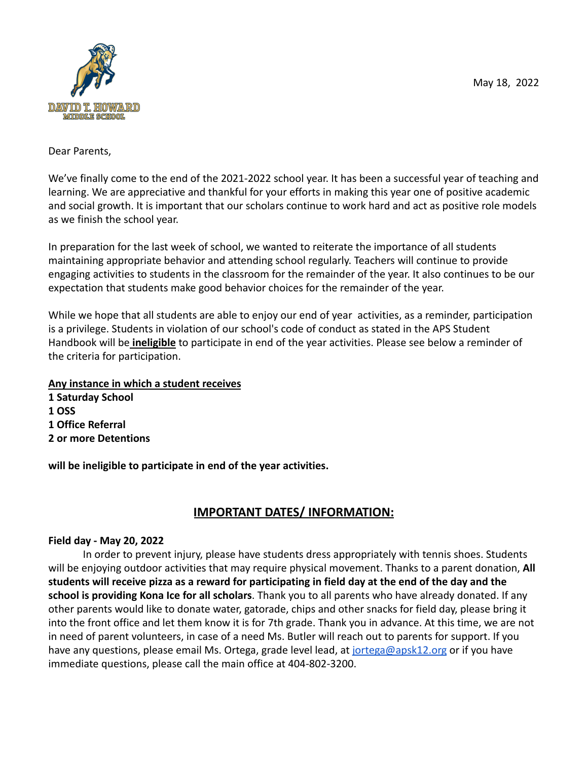

#### Dear Parents,

We've finally come to the end of the 2021-2022 school year. It has been a successful year of teaching and learning. We are appreciative and thankful for your efforts in making this year one of positive academic and social growth. It is important that our scholars continue to work hard and act as positive role models as we finish the school year.

In preparation for the last week of school, we wanted to reiterate the importance of all students maintaining appropriate behavior and attending school regularly. Teachers will continue to provide engaging activities to students in the classroom for the remainder of the year. It also continues to be our expectation that students make good behavior choices for the remainder of the year.

While we hope that all students are able to enjoy our end of year activities, as a reminder, participation is a privilege. Students in violation of our school's code of conduct as stated in the APS Student Handbook will be **ineligible** to participate in end of the year activities. Please see below a reminder of the criteria for participation.

# **Any instance in which a student receives**

**1 Saturday School 1 OSS 1 Office Referral 2 or more Detentions**

**will be ineligible to participate in end of the year activities.**

# **IMPORTANT DATES/ INFORMATION:**

# **Field day - May 20, 2022**

In order to prevent injury, please have students dress appropriately with tennis shoes. Students will be enjoying outdoor activities that may require physical movement. Thanks to a parent donation, **All students will receive pizza as a reward for participating in field day at the end of the day and the school is providing Kona Ice for all scholars**. Thank you to all parents who have already donated. If any other parents would like to donate water, gatorade, chips and other snacks for field day, please bring it into the front office and let them know it is for 7th grade. Thank you in advance. At this time, we are not in need of parent volunteers, in case of a need Ms. Butler will reach out to parents for support. If you have any questions, please email Ms. Ortega, grade level lead, at [jortega@apsk12.org](mailto:jortega@apsk12.org) or if you have immediate questions, please call the main office at 404-802-3200.